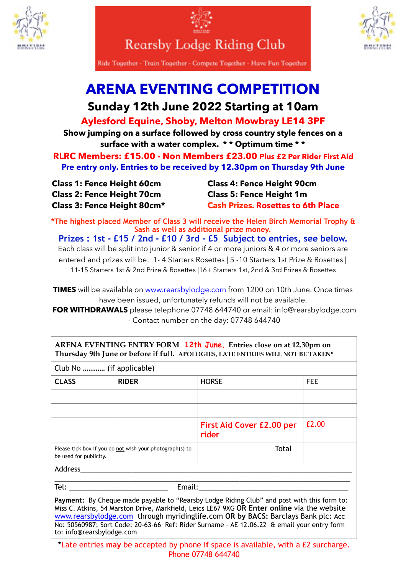



**Rearsby Lodge Riding Club** 



Ride Together - Train Together - Compete Together - Have Fun Together

## **ARENA EVENTING COMPETITION**

## **Sunday 12th June 2022 Starting at 10am**

**Aylesford Equine, Shoby, Melton Mowbray LE14 3PF** 

**Show jumping on a surface followed by cross country style fences on a surface with a water complex. \* \* Optimum time \* \*** 

**RLRC Members: £15.00 - Non Members £23.00 Plus £2 Per Rider First Aid Pre entry only. Entries to be received by 12.30pm on Thursday 9th June**

|  | <b>Class 1: Fence Height 60cm</b> |  |
|--|-----------------------------------|--|
|  | <b>Class 2: Fence Height 70cm</b> |  |
|  | Class 3: Fence Height 80cm*       |  |

to: [info@rearsbylodge.com](mailto:info@rearsbylodge.com)

**Class 4: Fence Height 90cm Class 5: Fence Height 1m Cash Prizes. Rosettes to 6th Place** 

**\*The highest placed Member of Class 3 will receive the Helen Birch Memorial Trophy & Sash as well as additional prize money.** 

**Prizes : 1st - £15 / 2nd - £10 / 3rd - £5 Subject to entries, see below.**  Each class will be split into junior & senior if 4 or more juniors & 4 or more seniors are entered and prizes will be: 1- 4 Starters Rosettes | 5 -10 Starters 1st Prize & Rosettes | 11-15 Starters 1st & 2nd Prize & Rosettes |16+ Starters 1st, 2nd & 3rd Prizes & Rosettes

**TIMES** will be available on [www.rearsbylodge.com](http://www.rearsbylodge.co.uk) from 1200 on 10th June. Once times have been issued, unfortunately refunds will not be available.

**FOR WITHDRAWALS** please telephone 07748 644740 or email: info@rearsbylodge.com - Contact number on the day: 07748 644740

| ARENA EVENTING ENTRY FORM 12th June. Entries close on at 12.30pm on<br>Thursday 9th June or before if full. APOLOGIES, LATE ENTRIES WILL NOT BE TAKEN*                                                                                                                                                                                                                      |                                                          |                                    |            |  |  |
|-----------------------------------------------------------------------------------------------------------------------------------------------------------------------------------------------------------------------------------------------------------------------------------------------------------------------------------------------------------------------------|----------------------------------------------------------|------------------------------------|------------|--|--|
| Club No  (if applicable)                                                                                                                                                                                                                                                                                                                                                    |                                                          |                                    |            |  |  |
| <b>CLASS</b>                                                                                                                                                                                                                                                                                                                                                                | <b>RIDER</b>                                             | <b>HORSE</b>                       | <b>FEE</b> |  |  |
|                                                                                                                                                                                                                                                                                                                                                                             |                                                          |                                    |            |  |  |
|                                                                                                                                                                                                                                                                                                                                                                             |                                                          |                                    |            |  |  |
|                                                                                                                                                                                                                                                                                                                                                                             |                                                          | First Aid Cover £2.00 per<br>rider | £2.00      |  |  |
| be used for publicity.                                                                                                                                                                                                                                                                                                                                                      | Please tick box if you do not wish your photograph(s) to | Total                              |            |  |  |
| Address                                                                                                                                                                                                                                                                                                                                                                     |                                                          |                                    |            |  |  |
| Tel: ______________________________<br>Email: Email: All and the state of the state of the state of the state of the state of the state of the state of the state of the state of the state of the state of the state of the state of the state of the state of the s                                                                                                       |                                                          |                                    |            |  |  |
| Payment: By Cheque made payable to "Rearsby Lodge Riding Club" and post with this form to:<br>Miss C. Atkins, 54 Marston Drive, Markfield, Leics LE67 9XG OR Enter online via the website<br>www.rearsbylodge.com through myridinglife.com OR by BACS: Barclays Bank plc: Acc<br>No: 50560987; Sort Code: 20-63-66 Ref: Rider Surname - AE 12.06.22 & email your entry form |                                                          |                                    |            |  |  |

**\***Late entries **may** be accepted by phone **if** space is available, with a £2 surcharge. Phone 07748 644740